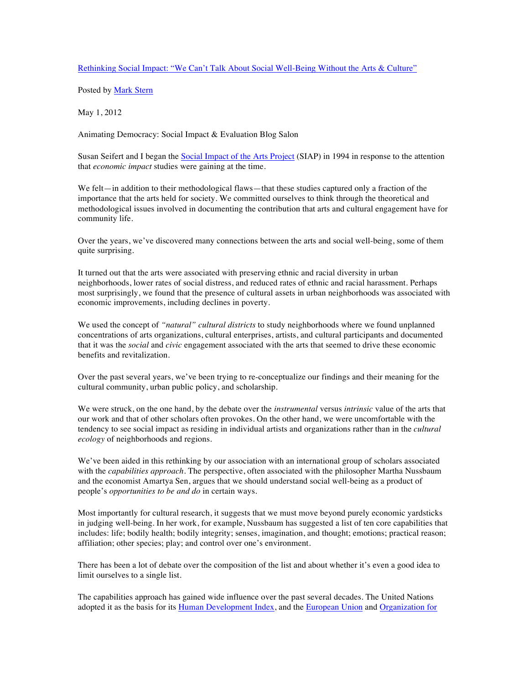Rethinking Social Impact: "We Can't Talk About Social Well-Being Without the Arts & Culture"

Posted by Mark Stern

May 1, 2012

Animating Democracy: Social Impact & Evaluation Blog Salon

Susan Seifert and I began the **Social Impact of the Arts Project** (SIAP) in 1994 in response to the attention that *economic impact* studies were gaining at the time.

We felt—in addition to their methodological flaws—that these studies captured only a fraction of the importance that the arts held for society. We committed ourselves to think through the theoretical and methodological issues involved in documenting the contribution that arts and cultural engagement have for community life.

Over the years, we've discovered many connections between the arts and social well-being, some of them quite surprising.

It turned out that the arts were associated with preserving ethnic and racial diversity in urban neighborhoods, lower rates of social distress, and reduced rates of ethnic and racial harassment. Perhaps most surprisingly, we found that the presence of cultural assets in urban neighborhoods was associated with economic improvements, including declines in poverty.

We used the concept of *"natural" cultural districts* to study neighborhoods where we found unplanned concentrations of arts organizations, cultural enterprises, artists, and cultural participants and documented that it was the *social* and *civic* engagement associated with the arts that seemed to drive these economic benefits and revitalization.

Over the past several years, we've been trying to re-conceptualize our findings and their meaning for the cultural community, urban public policy, and scholarship.

We were struck, on the one hand, by the debate over the *instrumental* versus *intrinsic* value of the arts that our work and that of other scholars often provokes. On the other hand, we were uncomfortable with the tendency to see social impact as residing in individual artists and organizations rather than in the *cultural ecology* of neighborhoods and regions.

We've been aided in this rethinking by our association with an international group of scholars associated with the *capabilities approach*. The perspective, often associated with the philosopher Martha Nussbaum and the economist Amartya Sen, argues that we should understand social well-being as a product of people's *opportunities to be and do* in certain ways.

Most importantly for cultural research, it suggests that we must move beyond purely economic yardsticks in judging well-being. In her work, for example, Nussbaum has suggested a list of ten core capabilities that includes: life; bodily health; bodily integrity; senses, imagination, and thought; emotions; practical reason; affiliation; other species; play; and control over one's environment.

There has been a lot of debate over the composition of the list and about whether it's even a good idea to limit ourselves to a single list.

The capabilities approach has gained wide influence over the past several decades. The United Nations adopted it as the basis for its Human Development Index, and the European Union and Organization for